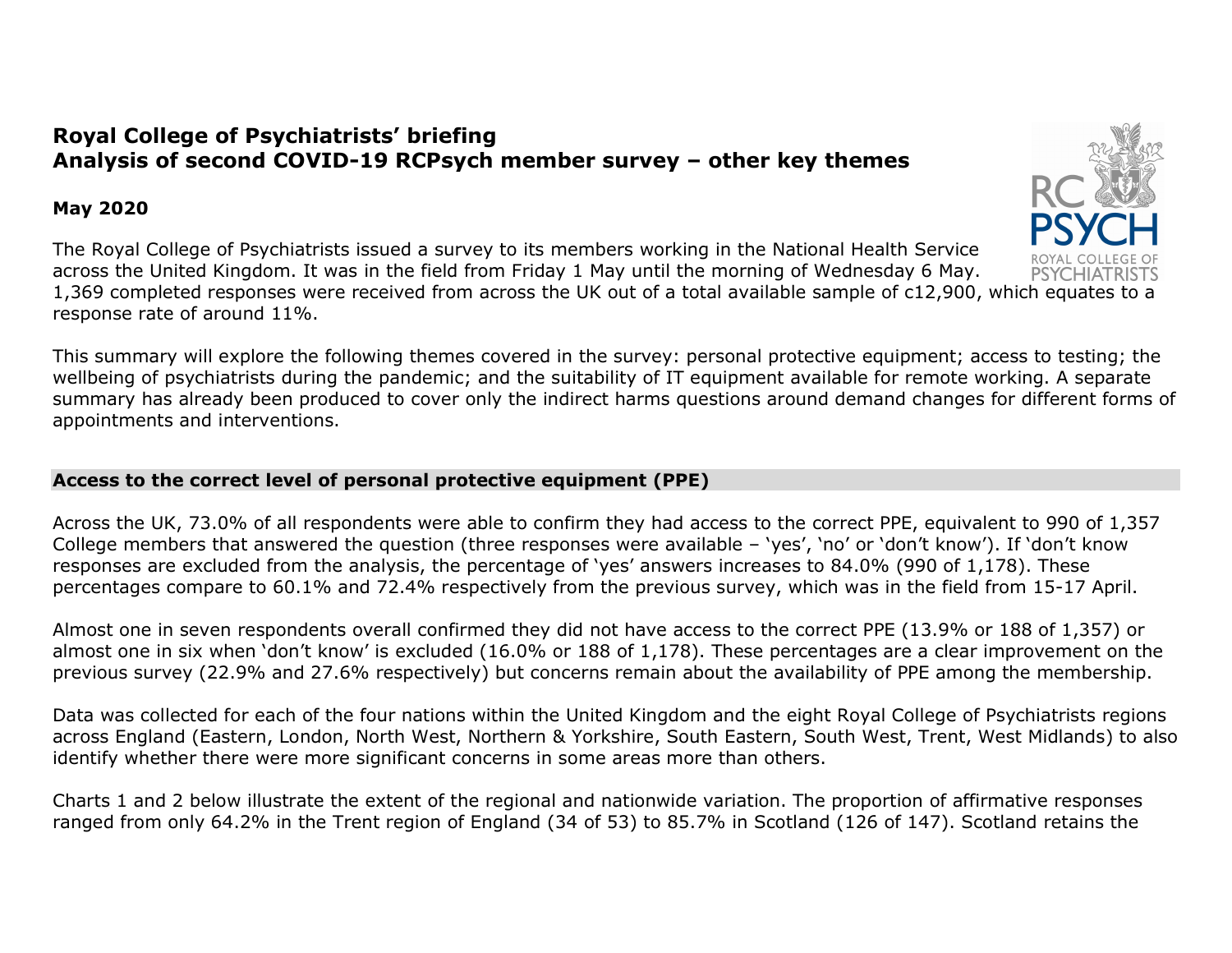# Royal College of Psychiatrists' briefing Analysis of second COVID-19 RCPsych member survey – other key themes

## May 2020

The Royal College of Psychiatrists issued a survey to its members working in the National Health Service across the United Kingdom. It was in the field from Friday 1 May until the morning of Wednesday 6 May. 1,369 completed responses were received from across the UK out of a total available sample of c12,900, which equates to a response rate of around 11%.

This summary will explore the following themes covered in the survey: personal protective equipment; access to testing; the wellbeing of psychiatrists during the pandemic; and the suitability of IT equipment available for remote working. A separate summary has already been produced to cover only the indirect harms questions around demand changes for different forms of appointments and interventions.

## Access to the correct level of personal protective equipment (PPE)

Across the UK, 73.0% of all respondents were able to confirm they had access to the correct PPE, equivalent to 990 of 1,357 College members that answered the question (three responses were available – 'yes', 'no' or 'don't know'). If 'don't know responses are excluded from the analysis, the percentage of 'yes' answers increases to 84.0% (990 of 1,178). These percentages compare to 60.1% and 72.4% respectively from the previous survey, which was in the field from 15-17 April.

Almost one in seven respondents overall confirmed they did not have access to the correct PPE (13.9% or 188 of 1,357) or almost one in six when 'don't know' is excluded (16.0% or 188 of 1,178). These percentages are a clear improvement on the previous survey (22.9% and 27.6% respectively) but concerns remain about the availability of PPE among the membership.

Data was collected for each of the four nations within the United Kingdom and the eight Royal College of Psychiatrists regions across England (Eastern, London, North West, Northern & Yorkshire, South Eastern, South West, Trent, West Midlands) to also identify whether there were more significant concerns in some areas more than others.

Charts 1 and 2 below illustrate the extent of the regional and nationwide variation. The proportion of affirmative responses ranged from only 64.2% in the Trent region of England (34 of 53) to 85.7% in Scotland (126 of 147). Scotland retains the

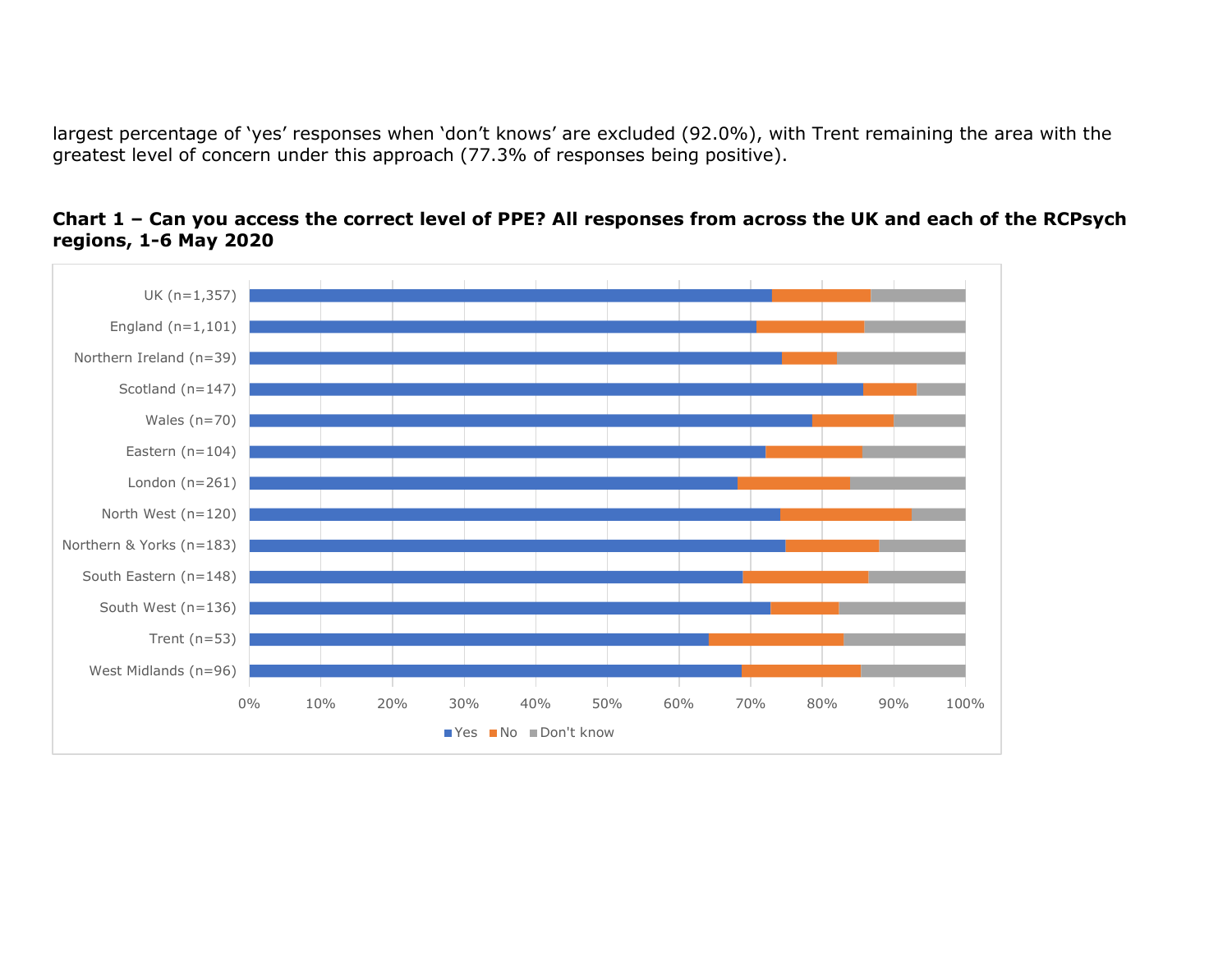largest percentage of 'yes' responses when 'don't knows' are excluded (92.0%), with Trent remaining the area with the greatest level of concern under this approach (77.3% of responses being positive).



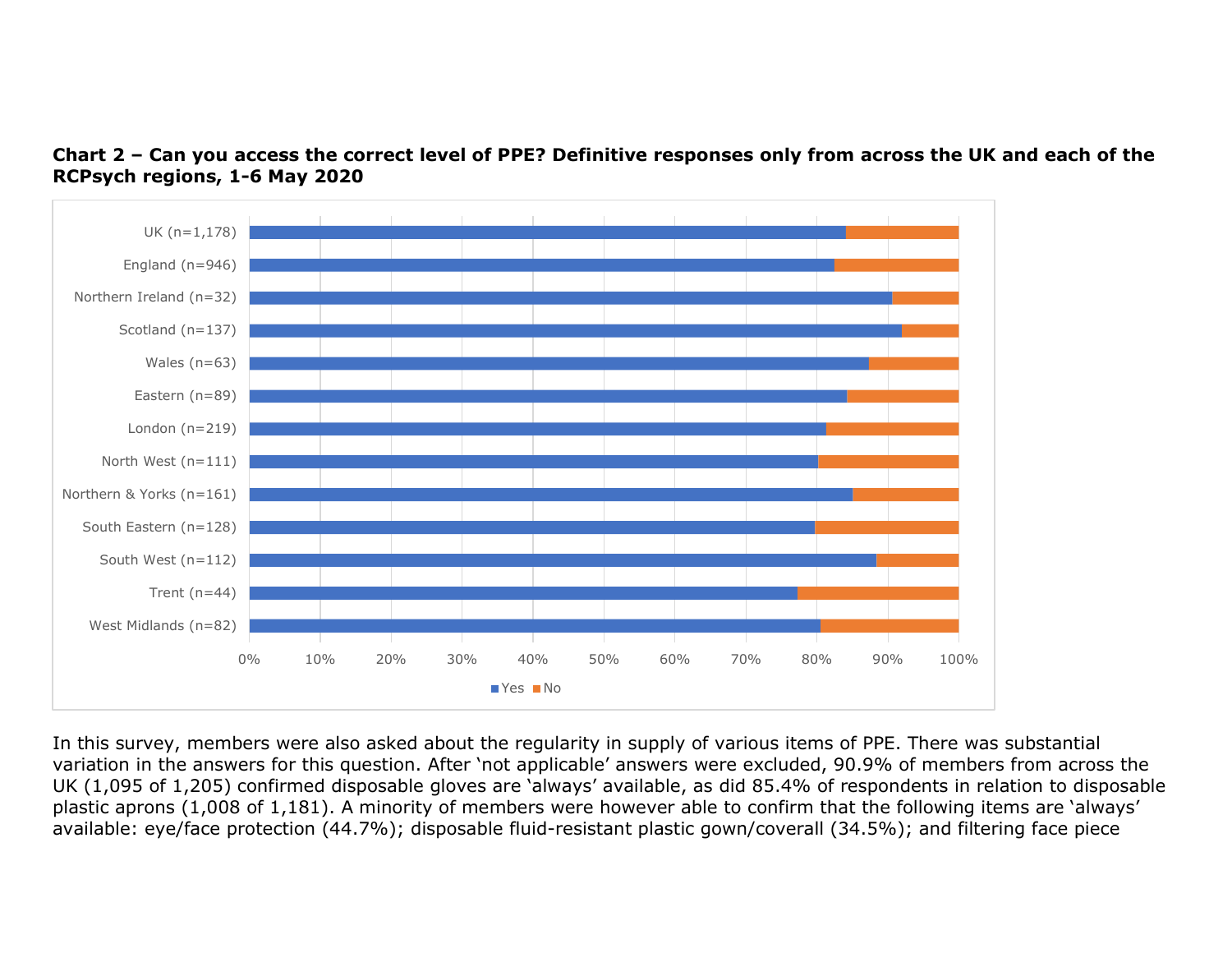

Chart 2 – Can you access the correct level of PPE? Definitive responses only from across the UK and each of the RCPsych regions, 1-6 May 2020

In this survey, members were also asked about the regularity in supply of various items of PPE. There was substantial variation in the answers for this question. After 'not applicable' answers were excluded, 90.9% of members from across the UK (1,095 of 1,205) confirmed disposable gloves are 'always' available, as did 85.4% of respondents in relation to disposable plastic aprons (1,008 of 1,181). A minority of members were however able to confirm that the following items are 'always' available: eye/face protection (44.7%); disposable fluid-resistant plastic gown/coverall (34.5%); and filtering face piece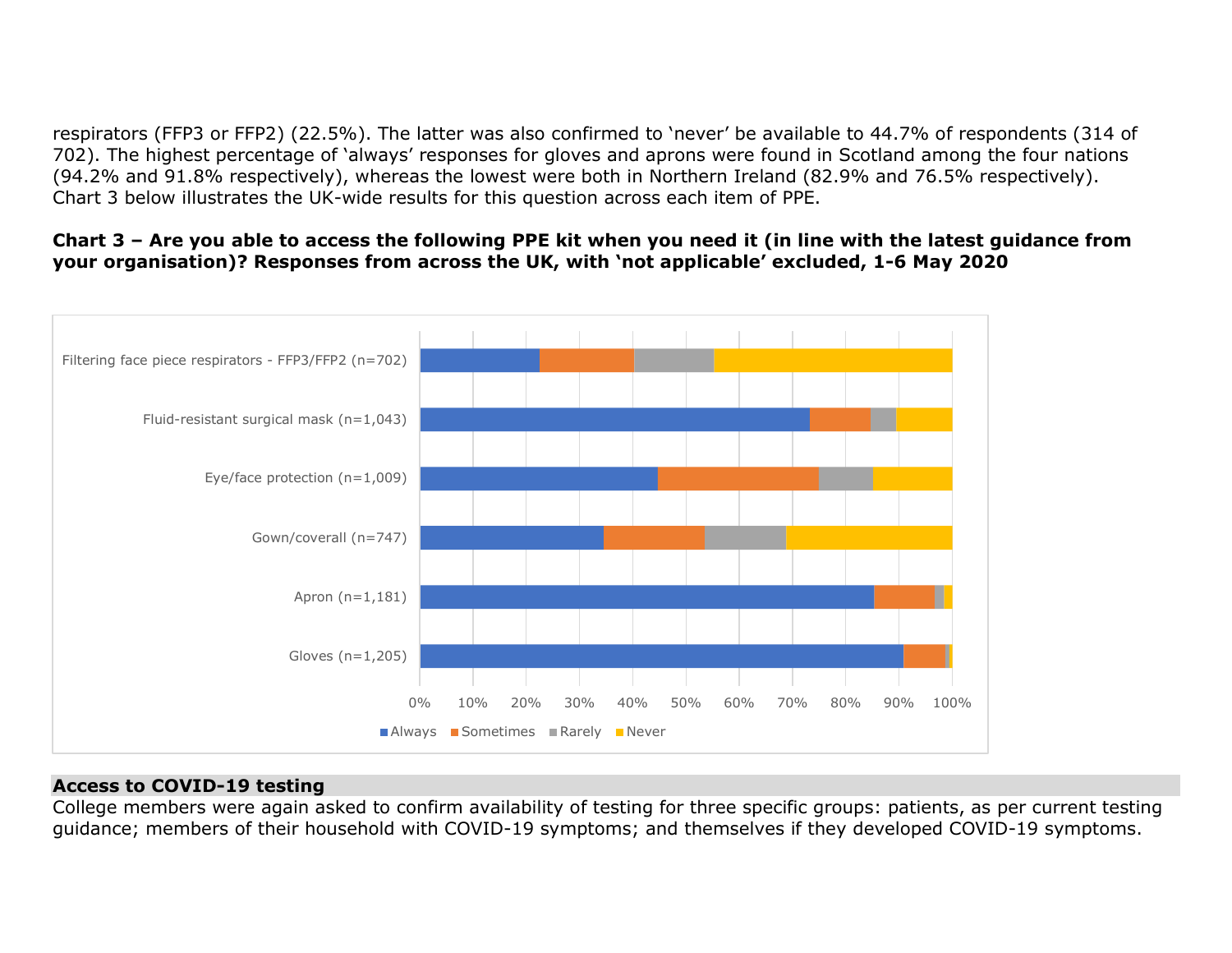respirators (FFP3 or FFP2) (22.5%). The latter was also confirmed to 'never' be available to 44.7% of respondents (314 of 702). The highest percentage of 'always' responses for gloves and aprons were found in Scotland among the four nations (94.2% and 91.8% respectively), whereas the lowest were both in Northern Ireland (82.9% and 76.5% respectively). Chart 3 below illustrates the UK-wide results for this question across each item of PPE.

### Chart 3 – Are you able to access the following PPE kit when you need it (in line with the latest guidance from your organisation)? Responses from across the UK, with 'not applicable' excluded, 1-6 May 2020



## Access to COVID-19 testing

College members were again asked to confirm availability of testing for three specific groups: patients, as per current testing guidance; members of their household with COVID-19 symptoms; and themselves if they developed COVID-19 symptoms.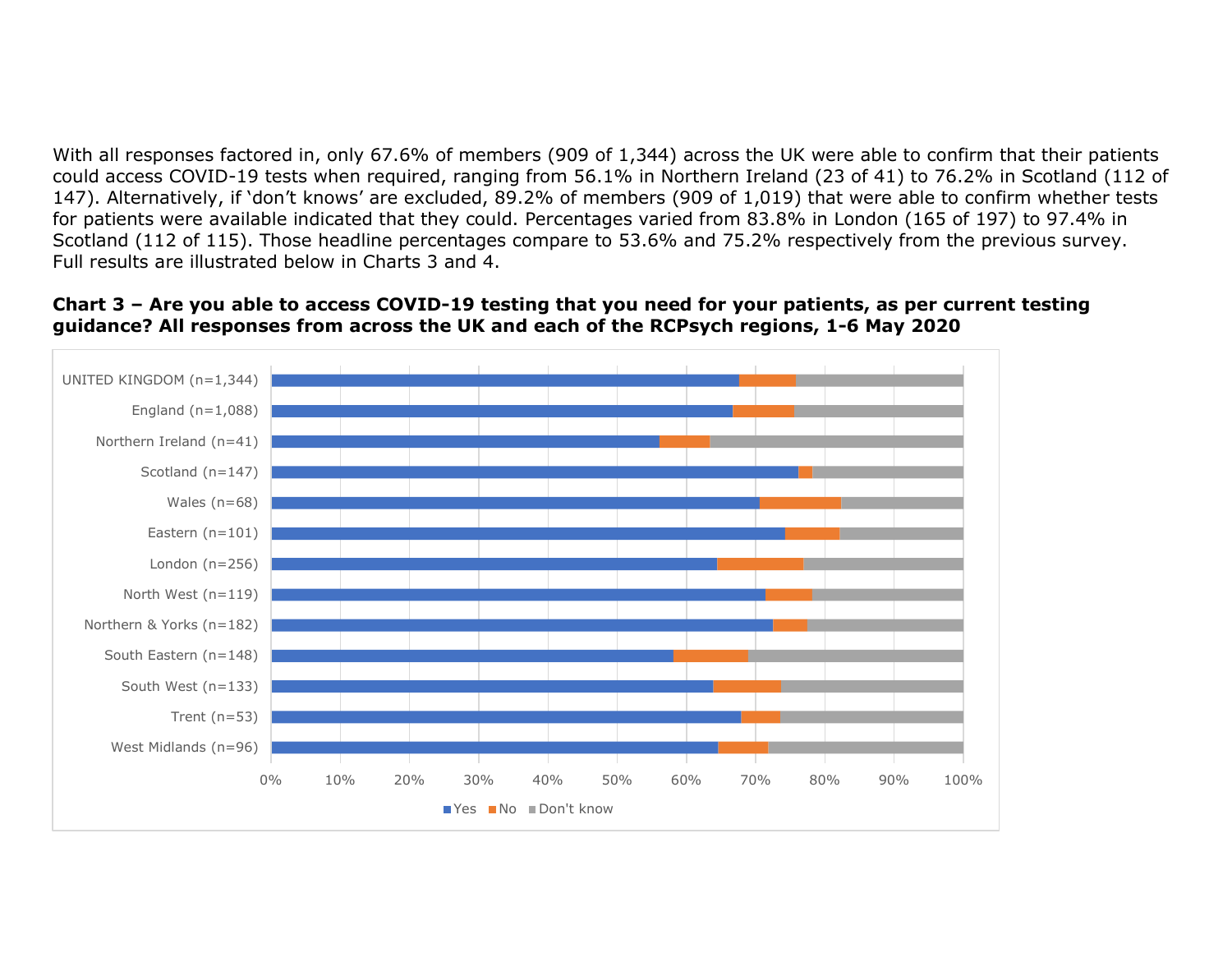With all responses factored in, only 67.6% of members (909 of 1,344) across the UK were able to confirm that their patients could access COVID-19 tests when required, ranging from 56.1% in Northern Ireland (23 of 41) to 76.2% in Scotland (112 of 147). Alternatively, if 'don't knows' are excluded, 89.2% of members (909 of 1,019) that were able to confirm whether tests for patients were available indicated that they could. Percentages varied from 83.8% in London (165 of 197) to 97.4% in Scotland (112 of 115). Those headline percentages compare to 53.6% and 75.2% respectively from the previous survey. Full results are illustrated below in Charts 3 and 4.

#### Chart 3 – Are you able to access COVID-19 testing that you need for your patients, as per current testing guidance? All responses from across the UK and each of the RCPsych regions, 1-6 May 2020

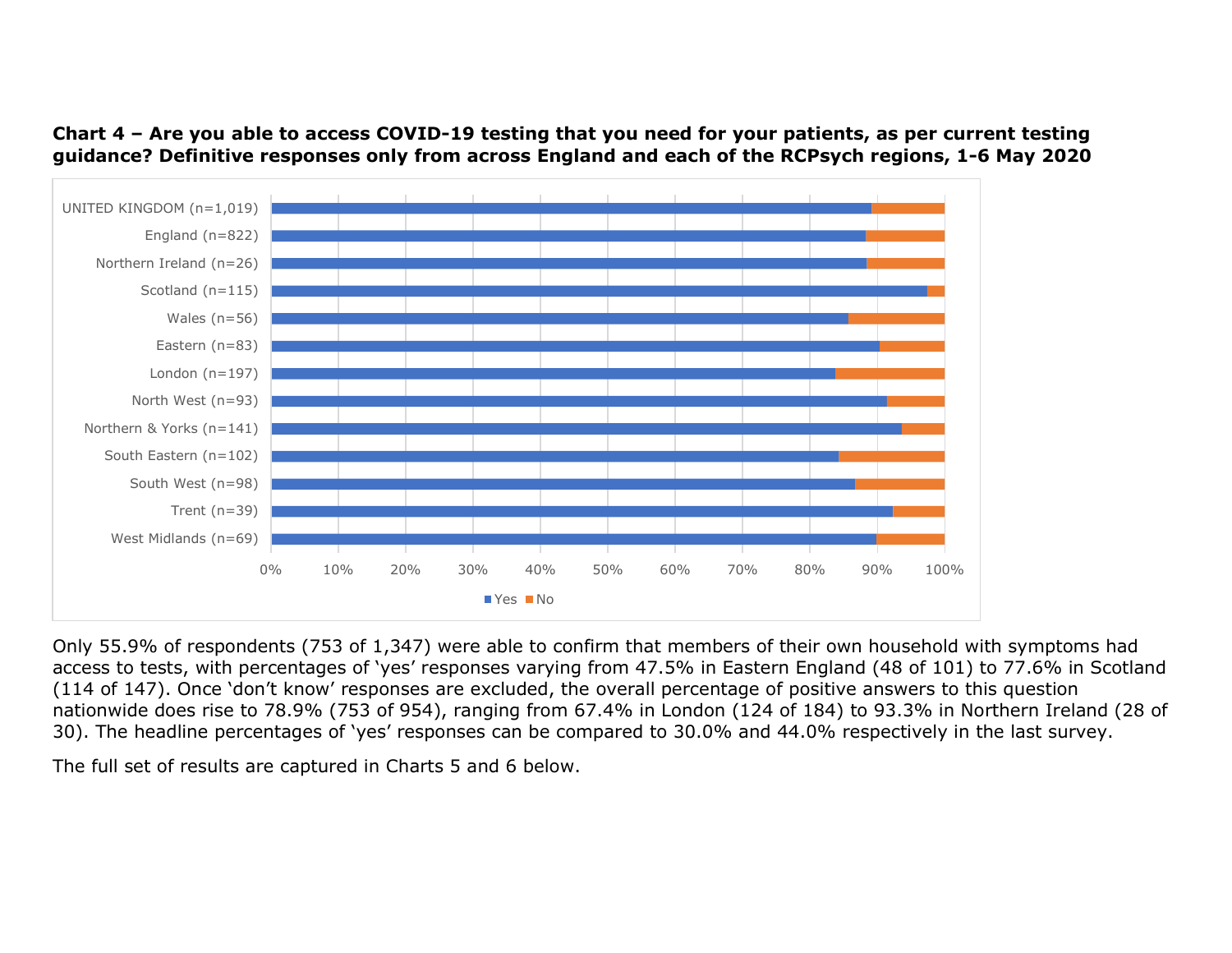Chart 4 – Are you able to access COVID-19 testing that you need for your patients, as per current testing guidance? Definitive responses only from across England and each of the RCPsych regions, 1-6 May 2020



Only 55.9% of respondents (753 of 1,347) were able to confirm that members of their own household with symptoms had access to tests, with percentages of 'yes' responses varying from 47.5% in Eastern England (48 of 101) to 77.6% in Scotland (114 of 147). Once 'don't know' responses are excluded, the overall percentage of positive answers to this question nationwide does rise to 78.9% (753 of 954), ranging from 67.4% in London (124 of 184) to 93.3% in Northern Ireland (28 of 30). The headline percentages of 'yes' responses can be compared to 30.0% and 44.0% respectively in the last survey.

The full set of results are captured in Charts 5 and 6 below.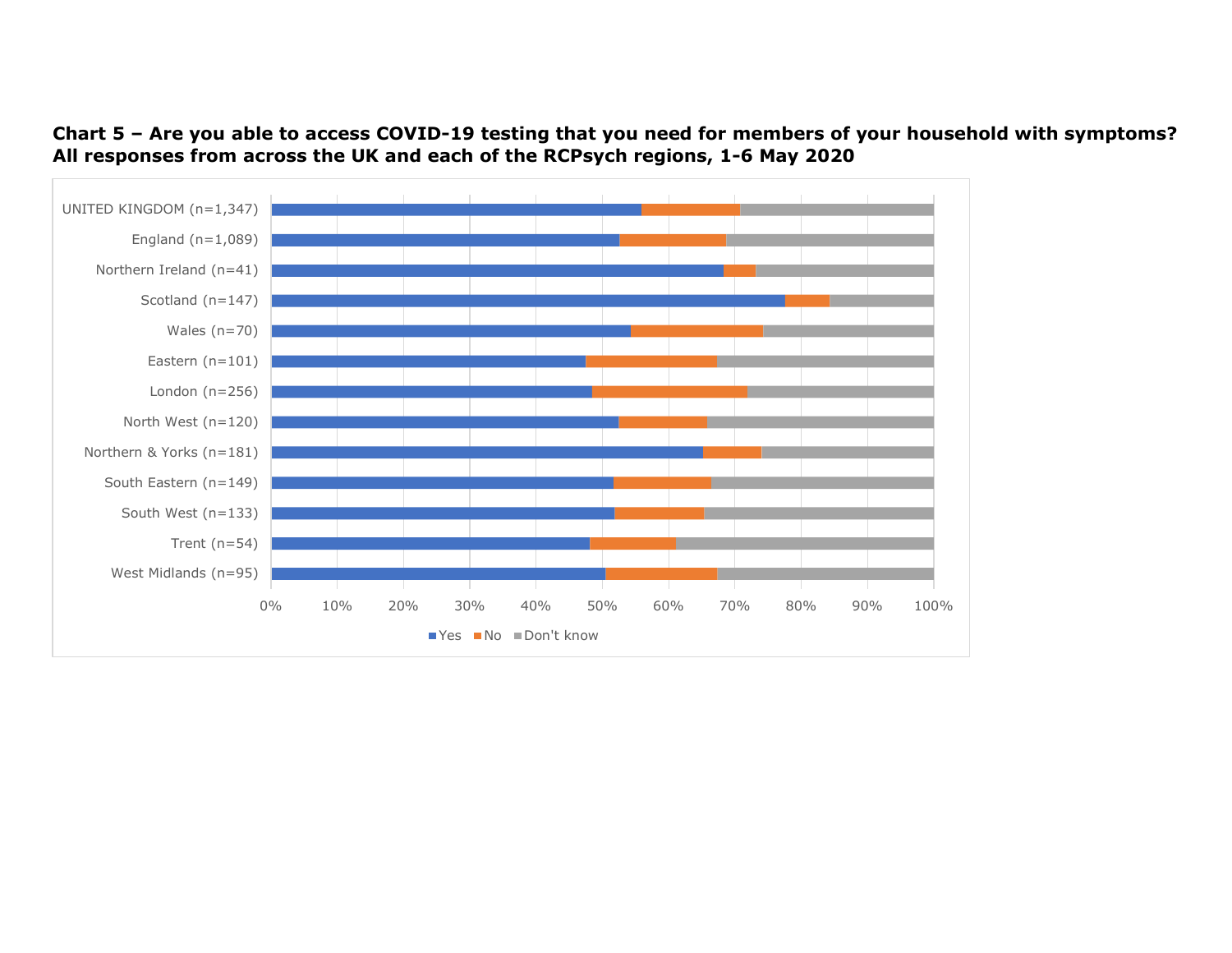Chart 5 – Are you able to access COVID-19 testing that you need for members of your household with symptoms? All responses from across the UK and each of the RCPsych regions, 1-6 May 2020

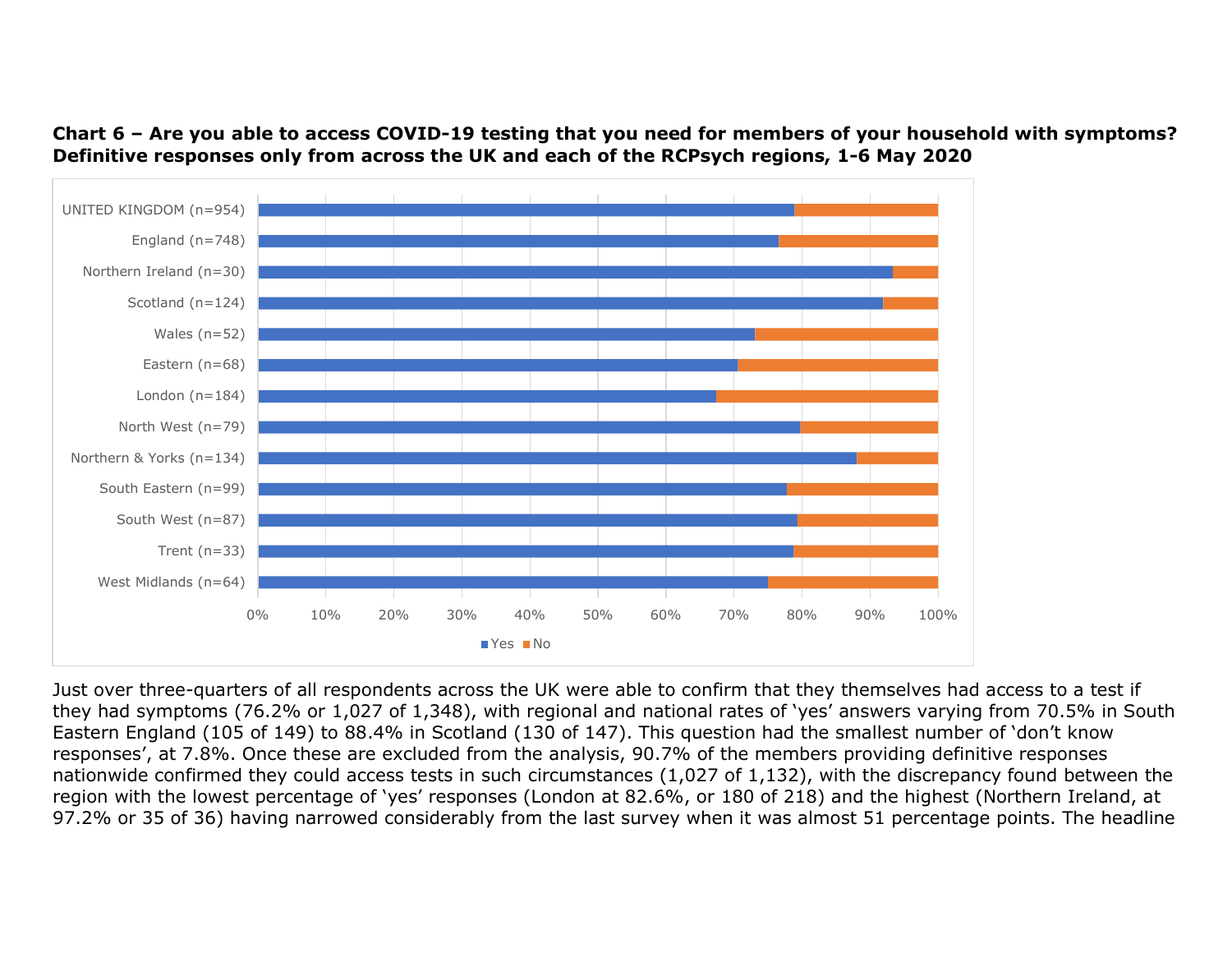Chart 6 – Are you able to access COVID-19 testing that you need for members of your household with symptoms? Definitive responses only from across the UK and each of the RCPsych regions, 1-6 May 2020



Just over three-quarters of all respondents across the UK were able to confirm that they themselves had access to a test if they had symptoms (76.2% or 1,027 of 1,348), with regional and national rates of 'yes' answers varying from 70.5% in South Eastern England (105 of 149) to 88.4% in Scotland (130 of 147). This question had the smallest number of 'don't know responses', at 7.8%. Once these are excluded from the analysis, 90.7% of the members providing definitive responses nationwide confirmed they could access tests in such circumstances (1,027 of 1,132), with the discrepancy found between the region with the lowest percentage of 'yes' responses (London at 82.6%, or 180 of 218) and the highest (Northern Ireland, at 97.2% or 35 of 36) having narrowed considerably from the last survey when it was almost 51 percentage points. The headline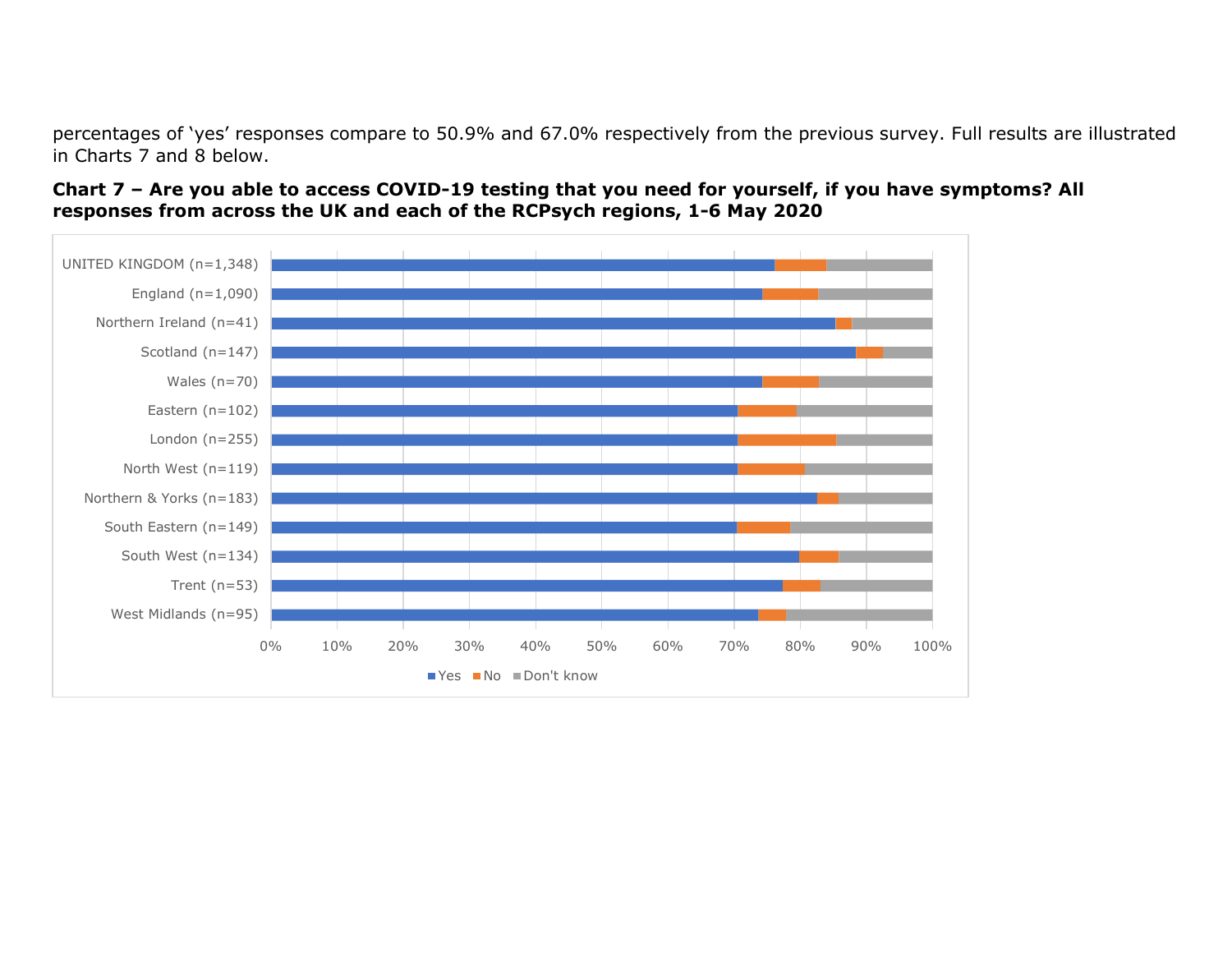percentages of 'yes' responses compare to 50.9% and 67.0% respectively from the previous survey. Full results are illustrated in Charts 7 and 8 below.



#### Chart 7 – Are you able to access COVID-19 testing that you need for yourself, if you have symptoms? All responses from across the UK and each of the RCPsych regions, 1-6 May 2020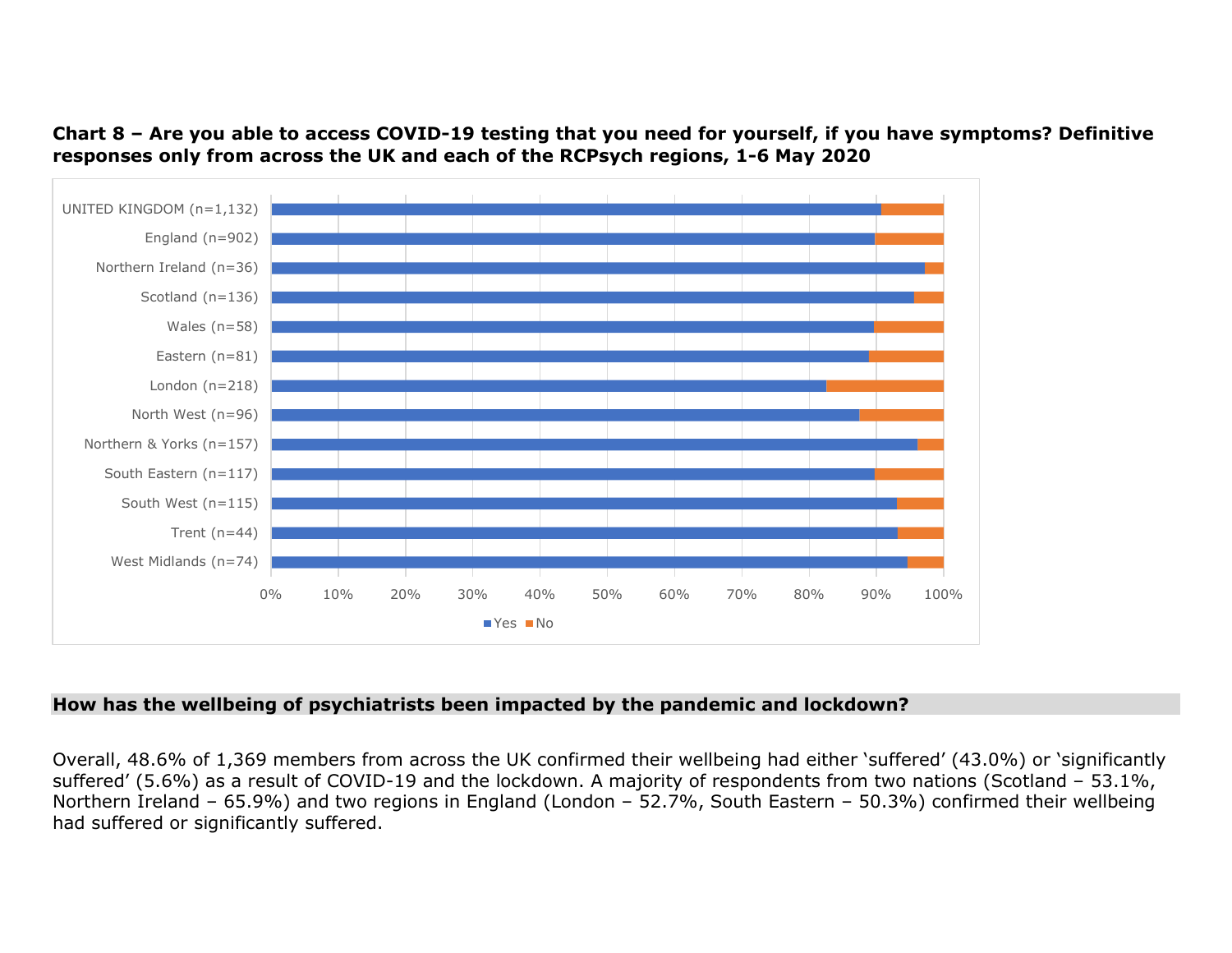Chart 8 – Are you able to access COVID-19 testing that you need for yourself, if you have symptoms? Definitive responses only from across the UK and each of the RCPsych regions, 1-6 May 2020



## How has the wellbeing of psychiatrists been impacted by the pandemic and lockdown?

Overall, 48.6% of 1,369 members from across the UK confirmed their wellbeing had either 'suffered' (43.0%) or 'significantly suffered' (5.6%) as a result of COVID-19 and the lockdown. A majority of respondents from two nations (Scotland – 53.1%, Northern Ireland – 65.9%) and two regions in England (London – 52.7%, South Eastern – 50.3%) confirmed their wellbeing had suffered or significantly suffered.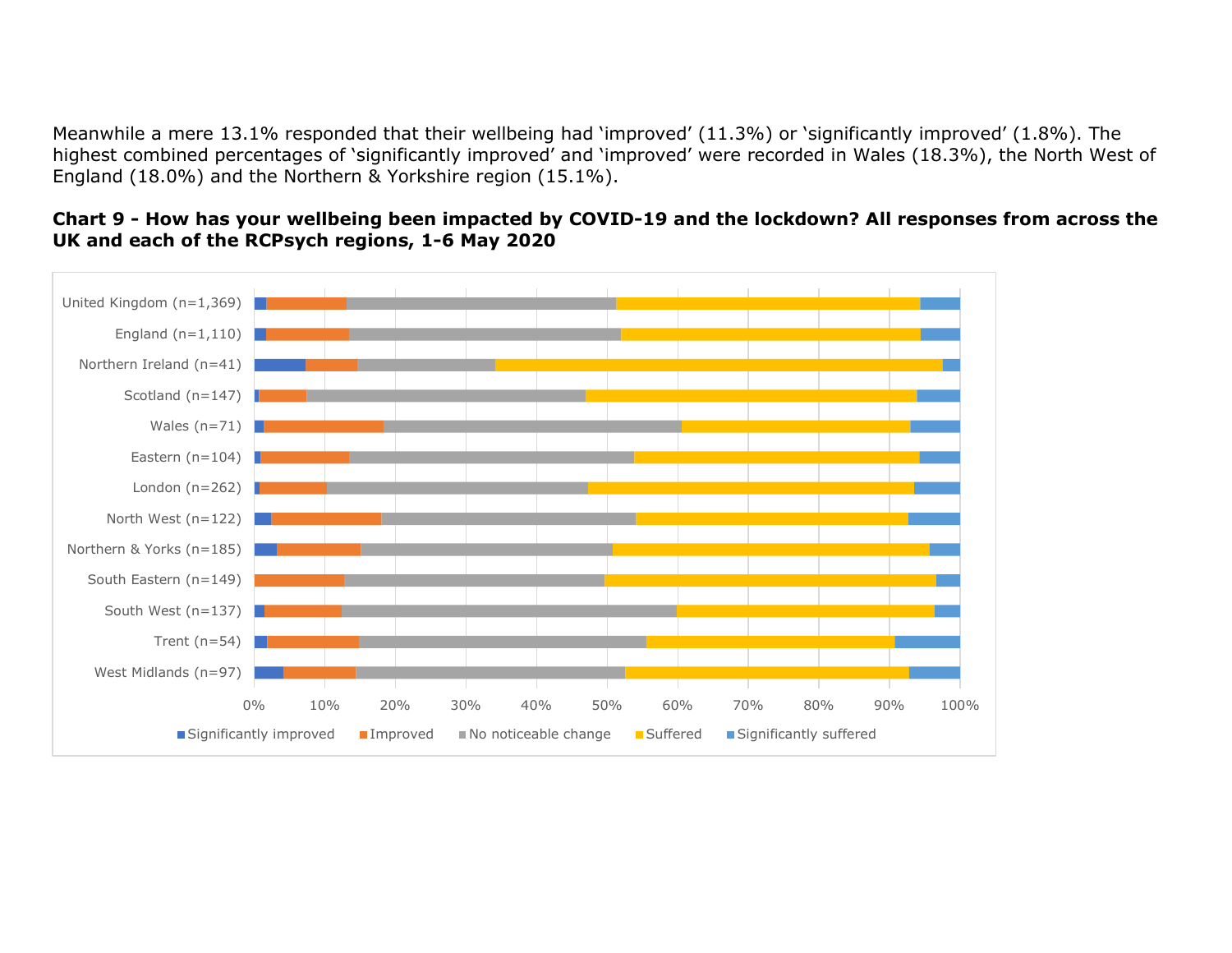Meanwhile a mere 13.1% responded that their wellbeing had 'improved' (11.3%) or 'significantly improved' (1.8%). The highest combined percentages of 'significantly improved' and 'improved' were recorded in Wales (18.3%), the North West of England (18.0%) and the Northern & Yorkshire region (15.1%).